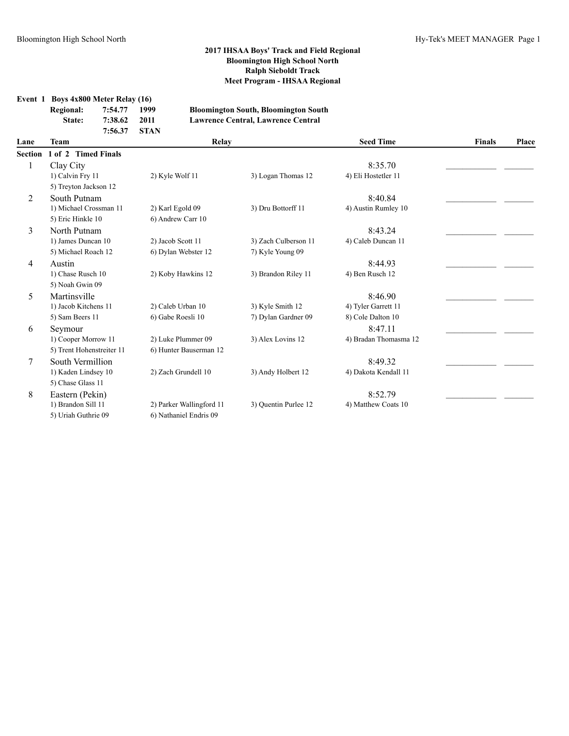**Event 1 Boys 4x800 Meter Relay (16)**

| <b>Regional:</b> | 7:54.77      | - 1999 | <b>Bloomington South, Bloomington South</b> |
|------------------|--------------|--------|---------------------------------------------|
| <b>State:</b>    | 7:38.62      | 2011   | Lawrence Central, Lawrence Central          |
|                  | 7:56.37 STAN |        |                                             |

| <b>Team</b><br>Lane |                           | Relay                    |                      | <b>Seed Time</b>      | <b>Finals</b> | Place |
|---------------------|---------------------------|--------------------------|----------------------|-----------------------|---------------|-------|
| <b>Section</b>      | 1 of 2 Timed Finals       |                          |                      |                       |               |       |
|                     | Clay City                 |                          |                      | 8:35.70               |               |       |
|                     | 1) Calvin Fry 11          | 2) Kyle Wolf 11          | 3) Logan Thomas 12   | 4) Eli Hostetler 11   |               |       |
|                     | 5) Treyton Jackson 12     |                          |                      |                       |               |       |
| 2                   | South Putnam              |                          |                      | 8:40.84               |               |       |
|                     | 1) Michael Crossman 11    | 2) Karl Egold 09         | 3) Dru Bottorff 11   | 4) Austin Rumley 10   |               |       |
|                     | 5) Eric Hinkle 10         | 6) Andrew Carr 10        |                      |                       |               |       |
| 3                   | North Putnam              |                          |                      | 8:43.24               |               |       |
|                     | 1) James Duncan 10        | 2) Jacob Scott 11        | 3) Zach Culberson 11 | 4) Caleb Duncan 11    |               |       |
|                     | 5) Michael Roach 12       | 6) Dylan Webster 12      | 7) Kyle Young 09     |                       |               |       |
| 4                   | Austin                    |                          |                      | 8:44.93               |               |       |
|                     | 1) Chase Rusch 10         | 2) Koby Hawkins 12       | 3) Brandon Riley 11  | 4) Ben Rusch 12       |               |       |
|                     | 5) Noah Gwin 09           |                          |                      |                       |               |       |
| 5                   | Martinsville              |                          |                      | 8:46.90               |               |       |
|                     | 1) Jacob Kitchens 11      | 2) Caleb Urban 10        | 3) Kyle Smith 12     | 4) Tyler Garrett 11   |               |       |
|                     | 5) Sam Beers 11           | 6) Gabe Roesli 10        | 7) Dylan Gardner 09  | 8) Cole Dalton 10     |               |       |
| 6                   | Seymour                   |                          |                      | 8:47.11               |               |       |
|                     | 1) Cooper Morrow 11       | 2) Luke Plummer 09       | 3) Alex Lovins 12    | 4) Bradan Thomasma 12 |               |       |
|                     | 5) Trent Hohenstreiter 11 | 6) Hunter Bauserman 12   |                      |                       |               |       |
| 7                   | South Vermillion          |                          |                      | 8:49.32               |               |       |
|                     | 1) Kaden Lindsey 10       | 2) Zach Grundell 10      | 3) Andy Holbert 12   | 4) Dakota Kendall 11  |               |       |
|                     | 5) Chase Glass 11         |                          |                      |                       |               |       |
| 8                   | Eastern (Pekin)           |                          |                      | 8:52.79               |               |       |
|                     | 1) Brandon Sill 11        | 2) Parker Wallingford 11 | 3) Ouentin Purlee 12 | 4) Matthew Coats 10   |               |       |
|                     | 5) Uriah Guthrie 09       | 6) Nathaniel Endris 09   |                      |                       |               |       |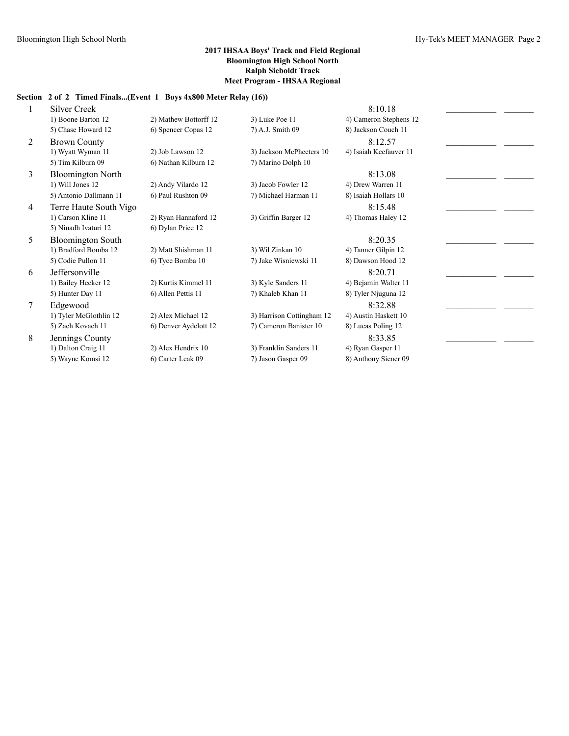# **Section 2 of 2 Timed Finals...(Event 1 Boys 4x800 Meter Relay (16))**

|   | <b>Silver Creek</b>      |                       |                           | 8:10.18                |  |
|---|--------------------------|-----------------------|---------------------------|------------------------|--|
|   | 1) Boone Barton 12       | 2) Mathew Bottorff 12 | 3) Luke Poe 11            | 4) Cameron Stephens 12 |  |
|   | 5) Chase Howard 12       | 6) Spencer Copas 12   | 7) A.J. Smith 09          | 8) Jackson Couch 11    |  |
| 2 | <b>Brown County</b>      |                       |                           | 8:12.57                |  |
|   | 1) Wyatt Wyman 11        | 2) Job Lawson 12      | 3) Jackson McPheeters 10  | 4) Isaiah Keefauver 11 |  |
|   | 5) Tim Kilburn 09        | 6) Nathan Kilburn 12  | 7) Marino Dolph 10        |                        |  |
| 3 | <b>Bloomington North</b> |                       |                           | 8:13.08                |  |
|   | 1) Will Jones 12         | 2) Andy Vilardo 12    | 3) Jacob Fowler 12        | 4) Drew Warren 11      |  |
|   | 5) Antonio Dallmann 11   | 6) Paul Rushton 09    | 7) Michael Harman 11      | 8) Isaiah Hollars 10   |  |
| 4 | Terre Haute South Vigo   |                       |                           | 8:15.48                |  |
|   | 1) Carson Kline 11       | 2) Ryan Hannaford 12  | 3) Griffin Barger 12      | 4) Thomas Haley 12     |  |
|   | 5) Ninadh Ivaturi 12     | 6) Dylan Price 12     |                           |                        |  |
| 5 | <b>Bloomington South</b> |                       |                           | 8:20.35                |  |
|   | 1) Bradford Bomba 12     | 2) Matt Shishman 11   | 3) Wil Zinkan 10          | 4) Tanner Gilpin 12    |  |
|   | 5) Codie Pullon 11       | 6) Tyce Bomba 10      | 7) Jake Wisniewski 11     | 8) Dawson Hood 12      |  |
| 6 | Jeffersonville           |                       |                           | 8:20.71                |  |
|   | 1) Bailey Hecker 12      | 2) Kurtis Kimmel 11   | 3) Kyle Sanders 11        | 4) Bejamin Walter 11   |  |
|   | 5) Hunter Day 11         | 6) Allen Pettis 11    | 7) Khaleb Khan 11         | 8) Tyler Njuguna 12    |  |
| 7 | Edgewood                 |                       |                           | 8:32.88                |  |
|   | 1) Tyler McGlothlin 12   | 2) Alex Michael 12    | 3) Harrison Cottingham 12 | 4) Austin Haskett 10   |  |
|   | 5) Zach Kovach 11        | 6) Denver Aydelott 12 | 7) Cameron Banister 10    | 8) Lucas Poling 12     |  |
| 8 | Jennings County          |                       |                           | 8:33.85                |  |
|   | 1) Dalton Craig 11       | 2) Alex Hendrix 10    | 3) Franklin Sanders 11    | 4) Ryan Gasper 11      |  |
|   | 5) Wayne Komsi 12        | 6) Carter Leak 09     | 7) Jason Gasper 09        | 8) Anthony Siener 09   |  |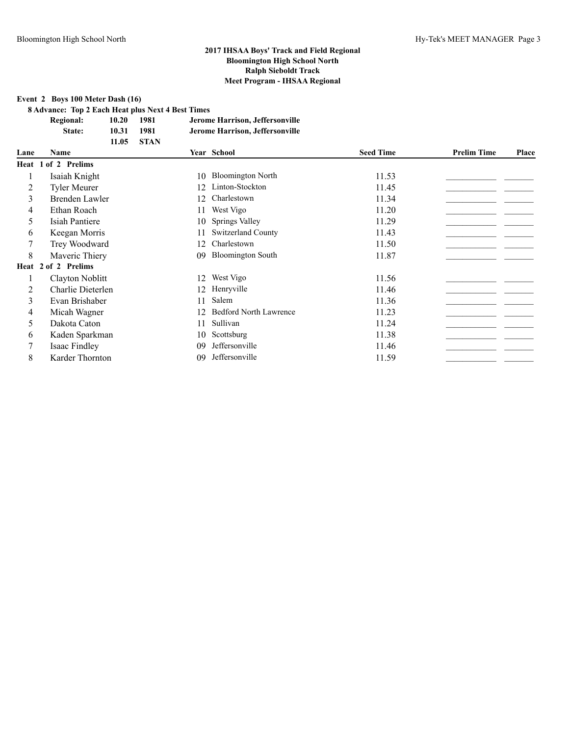**Event 2 Boys 100 Meter Dash (16)**

**8 Advance: Top 2 Each Heat plus Next 4 Best Times**

| <b>Regional:</b> | 10.20 | 1981   | Jerome Harrison, Jeffersonville |
|------------------|-------|--------|---------------------------------|
| <b>State:</b>    | 10.31 | 1981   | Jerome Harrison, Jeffersonville |
|                  | 11.05 | - STAN |                                 |

| Lane | Name                |    | Year School                   | <b>Seed Time</b> | <b>Prelim Time</b> | Place |
|------|---------------------|----|-------------------------------|------------------|--------------------|-------|
|      | Heat 1 of 2 Prelims |    |                               |                  |                    |       |
|      | Isaiah Knight       | 10 | <b>Bloomington North</b>      | 11.53            |                    |       |
| 2    | <b>Tyler Meurer</b> | 12 | Linton-Stockton               | 11.45            |                    |       |
| 3    | Brenden Lawler      |    | Charlestown                   | 11.34            |                    |       |
| 4    | Ethan Roach         |    | West Vigo                     | 11.20            |                    |       |
| 5    | Isiah Pantiere      | 10 | Springs Valley                | 11.29            |                    |       |
| 6    | Keegan Morris       |    | Switzerland County            | 11.43            |                    |       |
|      | Trey Woodward       | 12 | Charlestown                   | 11.50            |                    |       |
| 8    | Maveric Thiery      | 09 | <b>Bloomington South</b>      | 11.87            |                    |       |
|      | Heat 2 of 2 Prelims |    |                               |                  |                    |       |
|      | Clayton Noblitt     | 12 | West Vigo                     | 11.56            |                    |       |
| 2    | Charlie Dieterlen   | 12 | Henryville                    | 11.46            |                    |       |
| 3    | Evan Brishaber      | 11 | Salem                         | 11.36            |                    |       |
| 4    | Micah Wagner        | 12 | <b>Bedford North Lawrence</b> | 11.23            |                    |       |
| 5    | Dakota Caton        | 11 | Sullivan                      | 11.24            |                    |       |
| 6    | Kaden Sparkman      | 10 | Scottsburg                    | 11.38            |                    |       |
|      | Isaac Findley       | 09 | Jeffersonville                | 11.46            |                    |       |
| 8    | Karder Thornton     | 09 | Jeffersonville                | 11.59            |                    |       |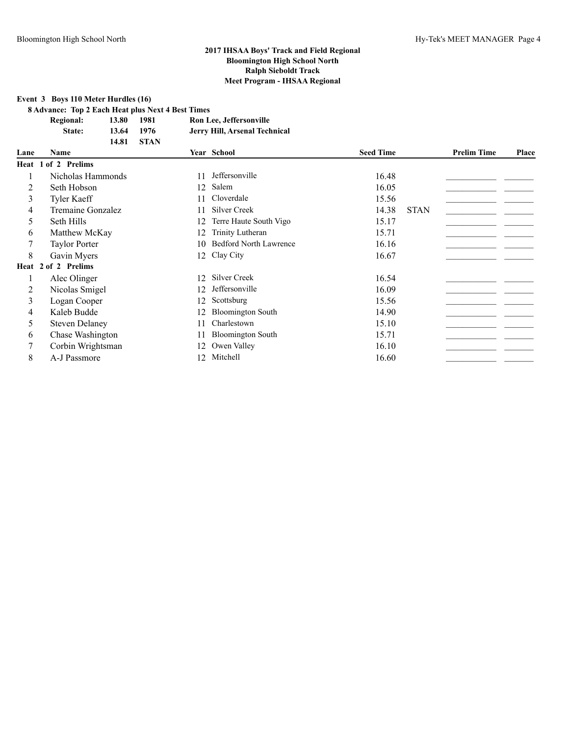**Event 3 Boys 110 Meter Hurdles (16)**

**8 Advance: Top 2 Each Heat plus Next 4 Best Times**

| 13.80 | 1981        | Ron Lee, Jeffersonville       |
|-------|-------------|-------------------------------|
| 13.64 | 1976        | Jerry Hill, Arsenal Technical |
| 14.81 | <b>STAN</b> |                               |
|       |             |                               |

| Lane | <b>Name</b>           |    | Year School                   | <b>Seed Time</b> |             | <b>Prelim Time</b> | Place |
|------|-----------------------|----|-------------------------------|------------------|-------------|--------------------|-------|
|      | Heat 1 of 2 Prelims   |    |                               |                  |             |                    |       |
|      | Nicholas Hammonds     | 11 | Jeffersonville                | 16.48            |             |                    |       |
| 2    | Seth Hobson           |    | 12 Salem                      | 16.05            |             |                    |       |
| 3    | Tyler Kaeff           | 11 | Cloverdale                    | 15.56            |             |                    |       |
| 4    | Tremaine Gonzalez     | 11 | <b>Silver Creek</b>           | 14.38            | <b>STAN</b> |                    |       |
| 5    | Seth Hills            | 12 | Terre Haute South Vigo        | 15.17            |             |                    |       |
| 6    | Matthew McKay         | 12 | Trinity Lutheran              | 15.71            |             |                    |       |
|      | <b>Taylor Porter</b>  | 10 | <b>Bedford North Lawrence</b> | 16.16            |             |                    |       |
| 8    | Gavin Myers           |    | 12 Clay City                  | 16.67            |             |                    |       |
|      | Heat 2 of 2 Prelims   |    |                               |                  |             |                    |       |
|      | Alec Olinger          | 12 | Silver Creek                  | 16.54            |             |                    |       |
| 2    | Nicolas Smigel        | 12 | Jeffersonville                | 16.09            |             |                    |       |
| 3    | Logan Cooper          | 12 | Scottsburg                    | 15.56            |             |                    |       |
| 4    | Kaleb Budde           | 12 | <b>Bloomington South</b>      | 14.90            |             |                    |       |
| 5    | <b>Steven Delaney</b> | 11 | Charlestown                   | 15.10            |             |                    |       |
| 6    | Chase Washington      | 11 | <b>Bloomington South</b>      | 15.71            |             |                    |       |
|      | Corbin Wrightsman     | 12 | Owen Valley                   | 16.10            |             |                    |       |
| 8    | A-J Passmore          | 12 | Mitchell                      | 16.60            |             |                    |       |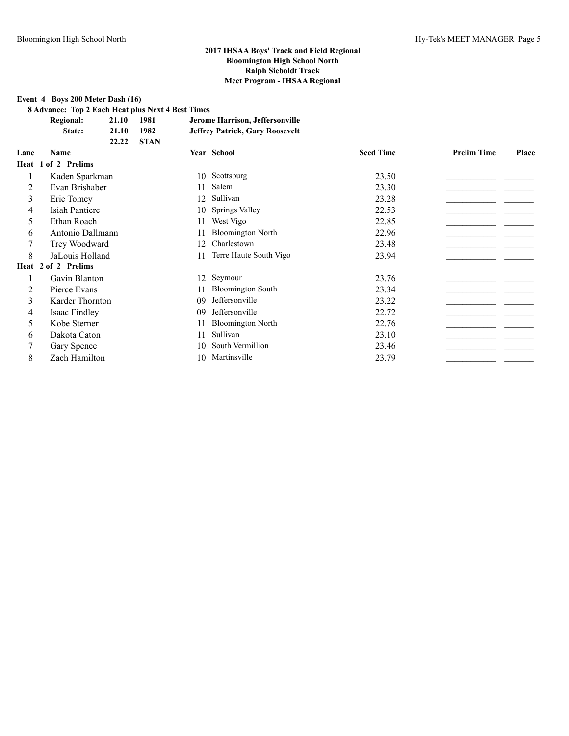# **Event 4 Boys 200 Meter Dash (16)**

**8 Advance: Top 2 Each Heat plus Next 4 Best Times**

| <b>Regional:</b> | 21.10 | 1981   | Jerome Harrison, Jeffersonville        |
|------------------|-------|--------|----------------------------------------|
| State:           | 21.10 | 1982   | <b>Jeffrey Patrick, Gary Roosevelt</b> |
|                  | 22.22 | - STAN |                                        |

| Lane | <b>Name</b>         |    | Year School              | <b>Seed Time</b> | <b>Prelim Time</b> | Place |
|------|---------------------|----|--------------------------|------------------|--------------------|-------|
|      | Heat 1 of 2 Prelims |    |                          |                  |                    |       |
|      | Kaden Sparkman      | 10 | Scottsburg               | 23.50            |                    |       |
| 2    | Evan Brishaber      | 11 | Salem                    | 23.30            |                    |       |
| 3    | Eric Tomey          | 12 | Sullivan                 | 23.28            |                    |       |
| 4    | Isiah Pantiere      | 10 | Springs Valley           | 22.53            |                    |       |
| 5    | Ethan Roach         | 11 | West Vigo                | 22.85            |                    |       |
| 6    | Antonio Dallmann    | 11 | <b>Bloomington North</b> | 22.96            |                    |       |
|      | Trey Woodward       | 12 | Charlestown              | 23.48            |                    |       |
| 8    | JaLouis Holland     | 11 | Terre Haute South Vigo   | 23.94            |                    |       |
|      | Heat 2 of 2 Prelims |    |                          |                  |                    |       |
|      | Gavin Blanton       | 12 | Seymour                  | 23.76            |                    |       |
| 2    | Pierce Evans        | 11 | <b>Bloomington South</b> | 23.34            |                    |       |
| 3    | Karder Thornton     | 09 | Jeffersonville           | 23.22            |                    |       |
| 4    | Isaac Findley       | 09 | Jeffersonville           | 22.72            |                    |       |
| 5    | Kobe Sterner        | 11 | <b>Bloomington North</b> | 22.76            |                    |       |
| 6    | Dakota Caton        | 11 | Sullivan                 | 23.10            |                    |       |
|      | Gary Spence         | 10 | South Vermillion         | 23.46            |                    |       |
| 8    | Zach Hamilton       | 10 | Martinsville             | 23.79            |                    |       |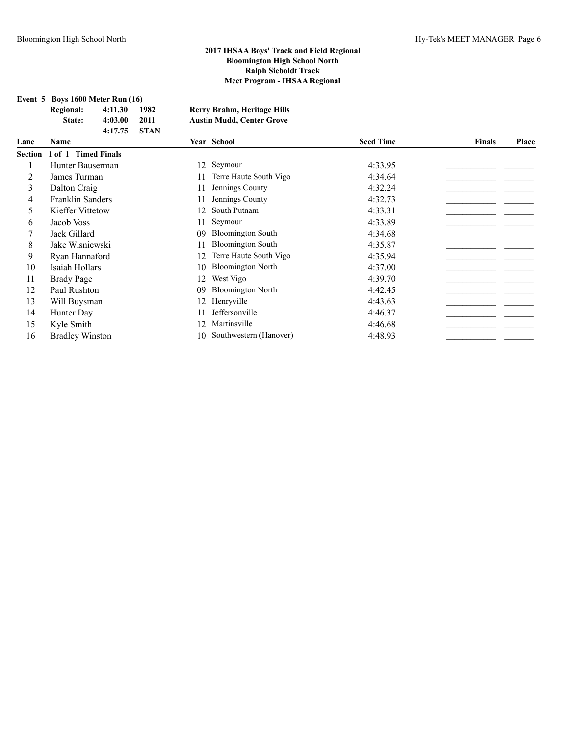**Event 5 Boys 1600 Meter Run (16)**

|      | Rootian 1 of 1 Timed Finals |              |      |                                  |                  |        |       |
|------|-----------------------------|--------------|------|----------------------------------|------------------|--------|-------|
| Lane | Name                        |              |      | Year School                      | <b>Seed Time</b> | Finals | Place |
|      |                             | 4:17.75 STAN |      |                                  |                  |        |       |
|      | State:                      | 4:03.00      | 2011 | <b>Austin Mudd, Center Grove</b> |                  |        |       |
|      | <b>Regional:</b>            | 4:11.30      | 1982 | Rerry Brahm, Heritage Hills      |                  |        |       |

|    | <b>Section 1 of 1 Timed Finals</b> |     |                          |         |
|----|------------------------------------|-----|--------------------------|---------|
|    | Hunter Bauserman                   |     | 12 Seymour               | 4:33.95 |
|    | James Turman                       | 11  | Terre Haute South Vigo   | 4:34.64 |
| 3  | Dalton Craig                       | 11  | Jennings County          | 4:32.24 |
| 4  | Franklin Sanders                   | 11  | Jennings County          | 4:32.73 |
| 5. | Kieffer Vittetow                   | 12  | South Putnam             | 4:33.31 |
| 6  | Jacob Voss                         | 11  | Seymour                  | 4:33.89 |
|    | Jack Gillard                       | 09  | <b>Bloomington South</b> | 4:34.68 |
| 8  | Jake Wisniewski                    | 11  | <b>Bloomington South</b> | 4:35.87 |
| 9  | Ryan Hannaford                     | 12  | Terre Haute South Vigo   | 4:35.94 |
| 10 | Isaiah Hollars                     | 10  | <b>Bloomington North</b> | 4:37.00 |
| 11 | <b>Brady Page</b>                  | 12  | West Vigo                | 4:39.70 |
| 12 | Paul Rushton                       | 09  | <b>Bloomington North</b> | 4:42.45 |
| 13 | Will Buysman                       | 12  | Henryville               | 4:43.63 |
| 14 | Hunter Day                         | 11  | Jeffersonville           | 4:46.37 |
| 15 | Kyle Smith                         | 12  | Martinsville             | 4:46.68 |
| 16 | <b>Bradley Winston</b>             | 10. | Southwestern (Hanover)   | 4:48.93 |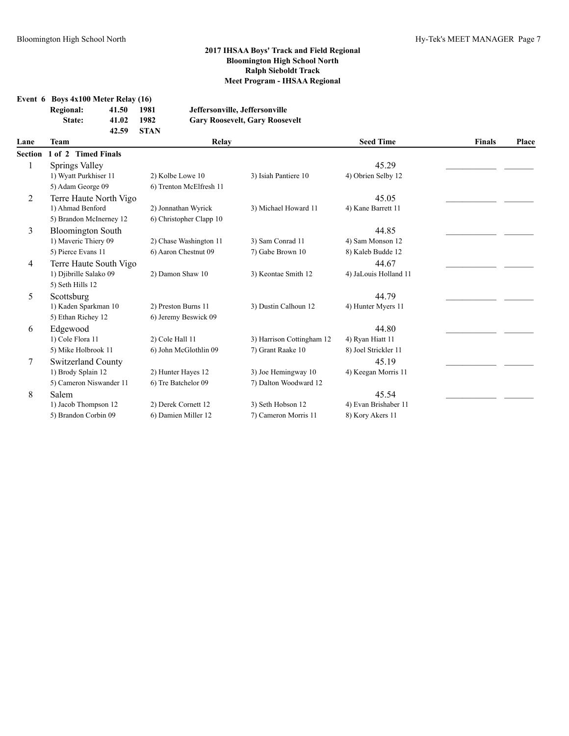**Event 6 Boys 4x100 Meter Relay (16)**

| <b>Regional:</b> | 41.50 | 1981        | Jeffersonville, Jeffersonville        |
|------------------|-------|-------------|---------------------------------------|
| State:           | 41.02 | 1982        | <b>Gary Roosevelt, Gary Roosevelt</b> |
|                  | 42.59 | <b>STAN</b> |                                       |

| Lane           | Team                      | <b>Relay</b>            |                           | <b>Seed Time</b>      | <b>Finals</b> | Place |
|----------------|---------------------------|-------------------------|---------------------------|-----------------------|---------------|-------|
| <b>Section</b> | 1 of 2 Timed Finals       |                         |                           |                       |               |       |
|                | Springs Valley            |                         |                           | 45.29                 |               |       |
|                | 1) Wyatt Purkhiser 11     | 2) Kolbe Lowe 10        | 3) Isiah Pantiere 10      | 4) Obrien Selby 12    |               |       |
|                | 5) Adam George 09         | 6) Trenton McElfresh 11 |                           |                       |               |       |
| 2              | Terre Haute North Vigo    |                         |                           | 45.05                 |               |       |
|                | 1) Ahmad Benford          | 2) Jonnathan Wyrick     | 3) Michael Howard 11      | 4) Kane Barrett 11    |               |       |
|                | 5) Brandon McInerney 12   | 6) Christopher Clapp 10 |                           |                       |               |       |
| 3              | <b>Bloomington South</b>  |                         |                           | 44.85                 |               |       |
|                | 1) Maveric Thiery 09      | 2) Chase Washington 11  | 3) Sam Conrad 11          | 4) Sam Monson 12      |               |       |
|                | 5) Pierce Evans 11        | 6) Aaron Chestnut 09    | 7) Gabe Brown 10          | 8) Kaleb Budde 12     |               |       |
| 4              | Terre Haute South Vigo    |                         |                           | 44.67                 |               |       |
|                | 1) Djibrille Salako 09    | 2) Damon Shaw 10        | 3) Keontae Smith 12       | 4) JaLouis Holland 11 |               |       |
|                | 5) Seth Hills 12          |                         |                           |                       |               |       |
| 5              | Scottsburg                |                         |                           | 44.79                 |               |       |
|                | 1) Kaden Sparkman 10      | 2) Preston Burns 11     | 3) Dustin Calhoun 12      | 4) Hunter Myers 11    |               |       |
|                | 5) Ethan Richey 12        | 6) Jeremy Beswick 09    |                           |                       |               |       |
| 6              | Edgewood                  |                         |                           | 44.80                 |               |       |
|                | 1) Cole Flora 11          | 2) Cole Hall 11         | 3) Harrison Cottingham 12 | 4) Ryan Hiatt 11      |               |       |
|                | 5) Mike Holbrook 11       | 6) John McGlothlin 09   | 7) Grant Raake 10         | 8) Joel Strickler 11  |               |       |
| 7              | <b>Switzerland County</b> |                         |                           | 45.19                 |               |       |
|                | 1) Brody Splain 12        | 2) Hunter Hayes 12      | 3) Joe Hemingway 10       | 4) Keegan Morris 11   |               |       |
|                | 5) Cameron Niswander 11   | 6) Tre Batchelor 09     | 7) Dalton Woodward 12     |                       |               |       |
| 8              | Salem                     |                         |                           | 45.54                 |               |       |
|                | 1) Jacob Thompson 12      | 2) Derek Cornett 12     | 3) Seth Hobson 12         | 4) Evan Brishaber 11  |               |       |
|                | 5) Brandon Corbin 09      | 6) Damien Miller 12     | 7) Cameron Morris 11      | 8) Kory Akers 11      |               |       |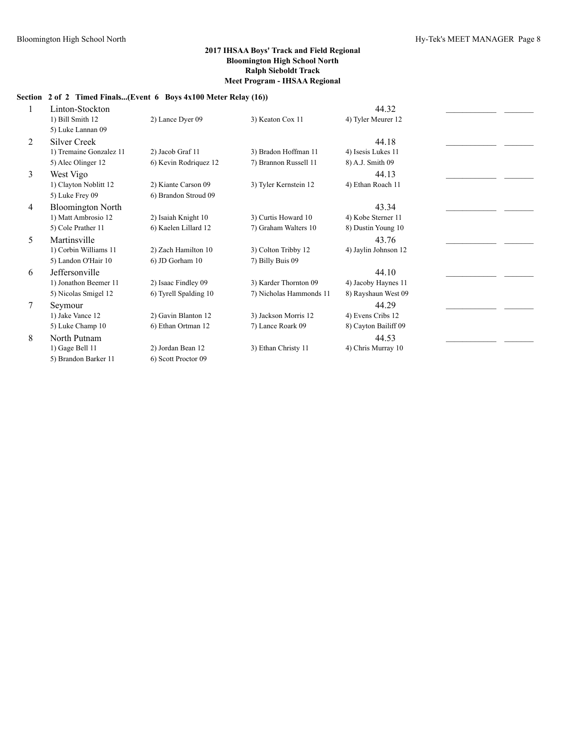# **Section 2 of 2 Timed Finals...(Event 6 Boys 4x100 Meter Relay (16))**

|   | Linton-Stockton          |                       |                         | 44.32                |  |
|---|--------------------------|-----------------------|-------------------------|----------------------|--|
|   | 1) Bill Smith 12         | 2) Lance Dyer 09      | 3) Keaton Cox 11        | 4) Tyler Meurer 12   |  |
|   | 5) Luke Lannan 09        |                       |                         |                      |  |
| 2 | <b>Silver Creek</b>      |                       |                         | 44.18                |  |
|   | 1) Tremaine Gonzalez 11  | 2) Jacob Graf 11      | 3) Bradon Hoffman 11    | 4) Isesis Lukes 11   |  |
|   | 5) Alec Olinger 12       | 6) Kevin Rodriquez 12 | 7) Brannon Russell 11   | 8) A.J. Smith 09     |  |
| 3 | West Vigo                |                       |                         | 44.13                |  |
|   | 1) Clayton Noblitt 12    | 2) Kiante Carson 09   | 3) Tyler Kernstein 12   | 4) Ethan Roach 11    |  |
|   | 5) Luke Frey 09          | 6) Brandon Stroud 09  |                         |                      |  |
| 4 | <b>Bloomington North</b> |                       |                         | 43.34                |  |
|   | 1) Matt Ambrosio 12      | 2) Isaiah Knight 10   | 3) Curtis Howard 10     | 4) Kobe Sterner 11   |  |
|   | 5) Cole Prather 11       | 6) Kaelen Lillard 12  | 7) Graham Walters 10    | 8) Dustin Young 10   |  |
| 5 | Martinsville             |                       |                         | 43.76                |  |
|   | 1) Corbin Williams 11    | 2) Zach Hamilton 10   | 3) Colton Tribby 12     | 4) Jaylin Johnson 12 |  |
|   | 5) Landon O'Hair 10      | 6) JD Gorham 10       | 7) Billy Buis 09        |                      |  |
| 6 | Jeffersonville           |                       |                         | 44.10                |  |
|   | 1) Jonathon Beemer 11    | 2) Isaac Findley 09   | 3) Karder Thornton 09   | 4) Jacoby Haynes 11  |  |
|   | 5) Nicolas Smigel 12     | 6) Tyrell Spalding 10 | 7) Nicholas Hammonds 11 | 8) Rayshaun West 09  |  |
| 7 | Seymour                  |                       |                         | 44.29                |  |
|   | 1) Jake Vance 12         | 2) Gavin Blanton 12   | 3) Jackson Morris 12    | 4) Evens Cribs 12    |  |
|   | 5) Luke Champ 10         | 6) Ethan Ortman 12    | 7) Lance Roark 09       | 8) Cayton Bailiff 09 |  |
| 8 | North Putnam             |                       |                         | 44.53                |  |
|   | 1) Gage Bell 11          | 2) Jordan Bean 12     | 3) Ethan Christy 11     | 4) Chris Murray 10   |  |
|   | 5) Brandon Barker 11     | 6) Scott Proctor 09   |                         |                      |  |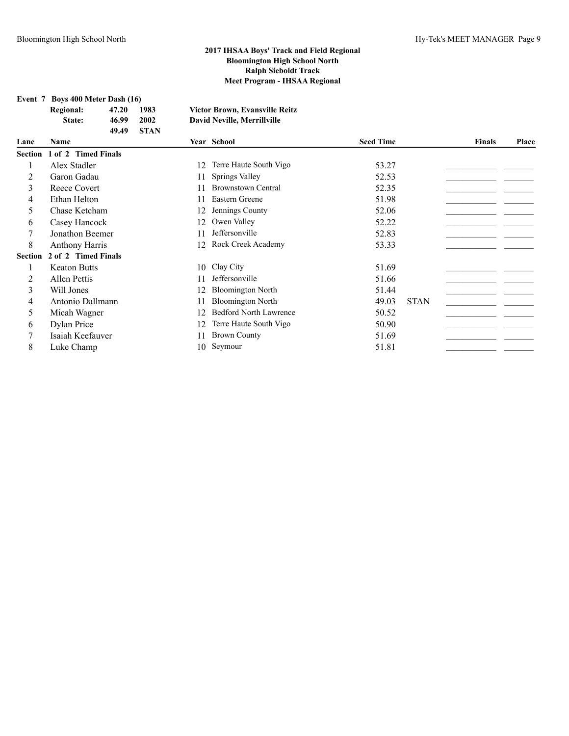| Event 7 | Boys 400 Meter Dash (16)   |                         |                             |     |                                                                             |                  |             |               |       |
|---------|----------------------------|-------------------------|-----------------------------|-----|-----------------------------------------------------------------------------|------------------|-------------|---------------|-------|
|         | <b>Regional:</b><br>State: | 47.20<br>46.99<br>49.49 | 1983<br>2002<br><b>STAN</b> |     | <b>Victor Brown, Evansville Reitz</b><br><b>David Neville, Merrillville</b> |                  |             |               |       |
| Lane    | Name                       |                         |                             |     | Year School                                                                 | <b>Seed Time</b> |             | <b>Finals</b> | Place |
| Section | 1 of 2 Timed Finals        |                         |                             |     |                                                                             |                  |             |               |       |
|         | Alex Stadler               |                         |                             | 12  | Terre Haute South Vigo                                                      | 53.27            |             |               |       |
| 2       | Garon Gadau                |                         |                             | 11  | Springs Valley                                                              | 52.53            |             |               |       |
| 3       | Reece Covert               |                         |                             | 11  | <b>Brownstown Central</b>                                                   | 52.35            |             |               |       |
| 4       | Ethan Helton               |                         |                             | 11  | Eastern Greene                                                              | 51.98            |             |               |       |
| 5.      | Chase Ketcham              |                         |                             | 12  | Jennings County                                                             | 52.06            |             |               |       |
| 6       | Casey Hancock              |                         |                             | 12  | Owen Valley                                                                 | 52.22            |             |               |       |
|         | Jonathon Beemer            |                         |                             | 11  | Jeffersonville                                                              | 52.83            |             |               |       |
| 8       | <b>Anthony Harris</b>      |                         |                             | 12  | Rock Creek Academy                                                          | 53.33            |             |               |       |
| Section | 2 of 2 Timed Finals        |                         |                             |     |                                                                             |                  |             |               |       |
|         | <b>Keaton Butts</b>        |                         |                             | 10  | Clay City                                                                   | 51.69            |             |               |       |
| 2       | <b>Allen Pettis</b>        |                         |                             | 11  | Jeffersonville                                                              | 51.66            |             |               |       |
| 3       | Will Jones                 |                         |                             | 12  | <b>Bloomington North</b>                                                    | 51.44            |             |               |       |
| 4       | Antonio Dallmann           |                         |                             | 11  | <b>Bloomington North</b>                                                    | 49.03            | <b>STAN</b> |               |       |
| 5.      | Micah Wagner               |                         |                             | 12  | <b>Bedford North Lawrence</b>                                               | 50.52            |             |               |       |
| 6       | Dylan Price                |                         |                             | 12. | Terre Haute South Vigo                                                      | 50.90            |             |               |       |

- 
- 7 Isaiah Keefauver 11 Brown County 51.69 \_\_\_\_\_\_\_\_\_\_\_\_\_\_\_\_\_\_\_\_\_
- 8 Luke Champ 10 Seymour 51.81 \_\_\_\_\_\_\_\_\_\_\_\_\_\_\_\_\_\_\_\_\_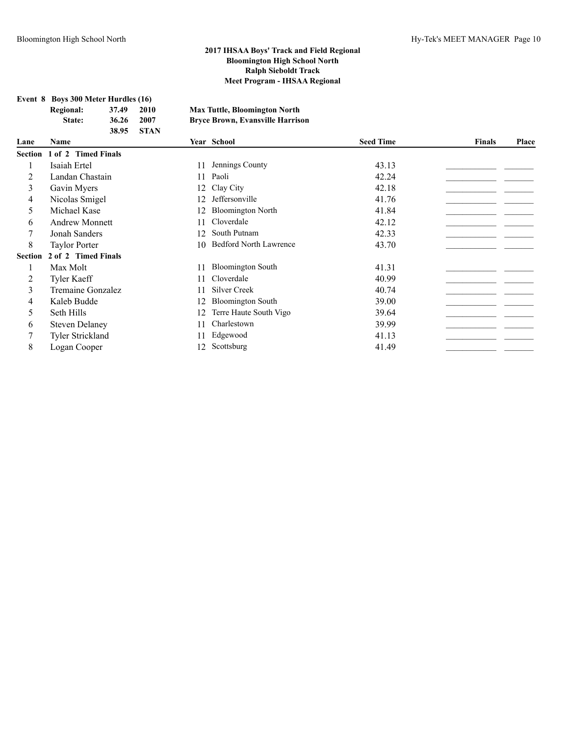| Event 8 Boys 300 Meter Hurdles (16) |       |       |                                         |
|-------------------------------------|-------|-------|-----------------------------------------|
| Regional:                           | 37.49 | 2010  | <b>Max Tuttle, Bloomington North</b>    |
| State:                              | 36.26 | 2007  | <b>Bryce Brown, Evansville Harrison</b> |
|                                     | 38.95 | -STAN |                                         |

| Lane           | <b>Name</b>                 |    | Year School                   | <b>Seed Time</b> | <b>Finals</b> | Place |
|----------------|-----------------------------|----|-------------------------------|------------------|---------------|-------|
|                | Section 1 of 2 Timed Finals |    |                               |                  |               |       |
|                | Isaiah Ertel                | 11 | Jennings County               | 43.13            |               |       |
| 2              | Landan Chastain             | 11 | Paoli                         | 42.24            |               |       |
| 3              | Gavin Myers                 | 12 | Clay City                     | 42.18            |               |       |
| 4              | Nicolas Smigel              | 12 | Jeffersonville                | 41.76            |               |       |
| 5.             | Michael Kase                | 12 | <b>Bloomington North</b>      | 41.84            |               |       |
| 6              | <b>Andrew Monnett</b>       | 11 | Cloverdale                    | 42.12            |               |       |
|                | Jonah Sanders               | 12 | South Putnam                  | 42.33            |               |       |
| 8              | <b>Taylor Porter</b>        | 10 | <b>Bedford North Lawrence</b> | 43.70            |               |       |
| <b>Section</b> | 2 of 2 Timed Finals         |    |                               |                  |               |       |
|                | Max Molt                    | 11 | <b>Bloomington South</b>      | 41.31            |               |       |
| 2              | <b>Tyler Kaeff</b>          | 11 | Cloverdale                    | 40.99            |               |       |
| 3              | Tremaine Gonzalez           | 11 | Silver Creek                  | 40.74            |               |       |
| 4              | Kaleb Budde                 |    | <b>Bloomington South</b>      | 39.00            |               |       |
| 5              | Seth Hills                  | 12 | Terre Haute South Vigo        | 39.64            |               |       |
| 6              | <b>Steven Delaney</b>       | 11 | Charlestown                   | 39.99            |               |       |
|                | <b>Tyler Strickland</b>     | 11 | Edgewood                      | 41.13            |               |       |
| 8              | Logan Cooper                | 12 | Scottsburg                    | 41.49            |               |       |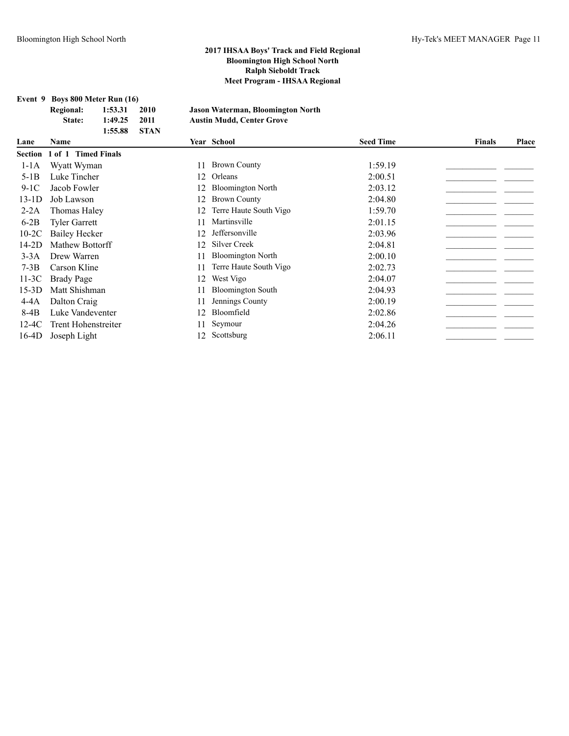**Event 9 Boys 800 Meter Run (16)**

|         | <b>Regional:</b><br>State: | 1:53.31<br>1:49.25<br>1:55.88 | 2010<br>2011<br><b>STAN</b> |    | <b>Jason Waterman, Bloomington North</b><br><b>Austin Mudd, Center Grove</b> |                  |               |       |
|---------|----------------------------|-------------------------------|-----------------------------|----|------------------------------------------------------------------------------|------------------|---------------|-------|
| Lane    | <b>Name</b>                |                               |                             |    | Year School                                                                  | <b>Seed Time</b> | <b>Finals</b> | Place |
| Section | 1 of 1 Timed Finals        |                               |                             |    |                                                                              |                  |               |       |
| $1-1A$  | Wyatt Wyman                |                               |                             | 11 | <b>Brown County</b>                                                          | 1:59.19          |               |       |
| $5-1B$  | Luke Tincher               |                               |                             | 12 | Orleans                                                                      | 2:00.51          |               |       |
| $9-1C$  | Jacob Fowler               |                               |                             |    | <b>Bloomington North</b>                                                     | 2:03.12          |               |       |
| 13-1D   | Job Lawson                 |                               |                             | 12 | <b>Brown County</b>                                                          | 2:04.80          |               |       |
| $2-2A$  | Thomas Haley               |                               |                             | 12 | Terre Haute South Vigo                                                       | 1:59.70          |               |       |
| $6-2B$  | <b>Tyler Garrett</b>       |                               |                             | 11 | Martinsville                                                                 | 2:01.15          |               |       |
| $10-2C$ | Bailey Hecker              |                               |                             | 12 | Jeffersonville                                                               | 2:03.96          |               |       |
| 14-2D   | Mathew Bottorff            |                               |                             | 12 | Silver Creek                                                                 | 2:04.81          |               |       |
| $3-3A$  | Drew Warren                |                               |                             | 11 | <b>Bloomington North</b>                                                     | 2:00.10          |               |       |
| $7-3B$  | Carson Kline               |                               |                             | 11 | Terre Haute South Vigo                                                       | 2:02.73          |               |       |
| 11-3C   | Brady Page                 |                               |                             | 12 | West Vigo                                                                    | 2:04.07          |               |       |
| 15-3D   | Matt Shishman              |                               |                             | 11 | <b>Bloomington South</b>                                                     | 2:04.93          |               |       |
| $4-4A$  | Dalton Craig               |                               |                             | 11 | Jennings County                                                              | 2:00.19          |               |       |
| 8-4B    | Luke Vandeventer           |                               |                             | 12 | Bloomfield                                                                   | 2:02.86          |               |       |
| $12-4C$ | Trent Hohenstreiter        |                               |                             | 11 | Seymour                                                                      | 2:04.26          |               |       |
| 16-4D   | Joseph Light               |                               |                             | 12 | Scottsburg                                                                   | 2:06.11          |               |       |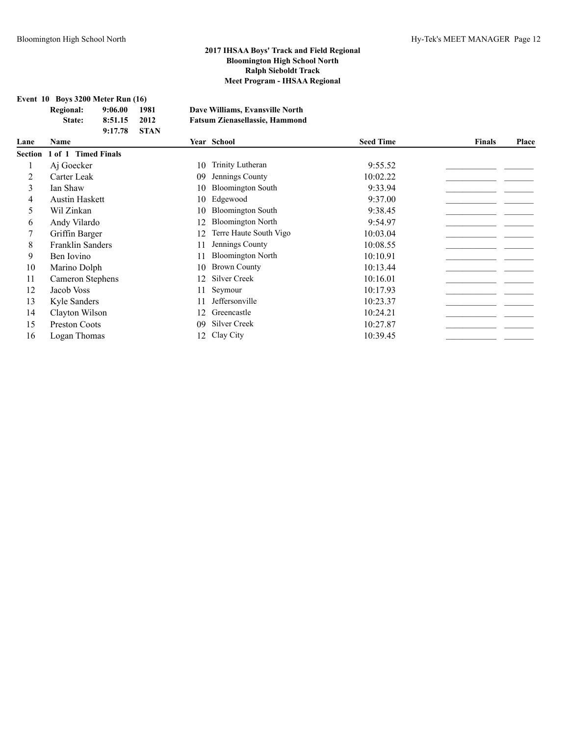|  |  | Event $10$ Boys 3200 Meter Run $(16)$ |
|--|--|---------------------------------------|
|--|--|---------------------------------------|

| <b>Regional:</b> | 9:06.00        | 1981 | Dave Williams, Evansville North       |
|------------------|----------------|------|---------------------------------------|
| State:           | 8:51.15        | 2012 | <b>Fatsum Zienasellassie, Hammond</b> |
|                  | $9:17.78$ STAN |      |                                       |

| Lane | <b>Name</b>                        |    | Year School              | <b>Seed Time</b> | Finals | Place |
|------|------------------------------------|----|--------------------------|------------------|--------|-------|
|      | <b>Section 1 of 1 Timed Finals</b> |    |                          |                  |        |       |
|      | Aj Goecker                         | 10 | Trinity Lutheran         | 9:55.52          |        |       |
| 2    | Carter Leak                        | 09 | Jennings County          | 10:02.22         |        |       |
| 3    | Ian Shaw                           | 10 | <b>Bloomington South</b> | 9:33.94          |        |       |
| 4    | <b>Austin Haskett</b>              | 10 | Edgewood                 | 9:37.00          |        |       |
| 5.   | Wil Zinkan                         | 10 | <b>Bloomington South</b> | 9:38.45          |        |       |
| 6    | Andy Vilardo                       | 12 | <b>Bloomington North</b> | 9:54.97          |        |       |
|      | Griffin Barger                     | 12 | Terre Haute South Vigo   | 10:03.04         |        |       |
| 8    | <b>Franklin Sanders</b>            |    | Jennings County          | 10:08.55         |        |       |
| 9    | Ben Iovino                         |    | <b>Bloomington North</b> | 10:10.91         |        |       |
| 10   | Marino Dolph                       | 10 | <b>Brown County</b>      | 10:13.44         |        |       |
| 11   | Cameron Stephens                   | 12 | <b>Silver Creek</b>      | 10:16.01         |        |       |
| 12   | Jacob Voss                         |    | Seymour                  | 10:17.93         |        |       |
| 13   | Kyle Sanders                       |    | Jeffersonville           | 10:23.37         |        |       |
| 14   | Clayton Wilson                     | 12 | Greencastle              | 10:24.21         |        |       |
| 15   | <b>Preston Coots</b>               | 09 | <b>Silver Creek</b>      | 10:27.87         |        |       |
| 16   | Logan Thomas                       | 12 | Clay City                | 10:39.45         |        |       |
|      |                                    |    |                          |                  |        |       |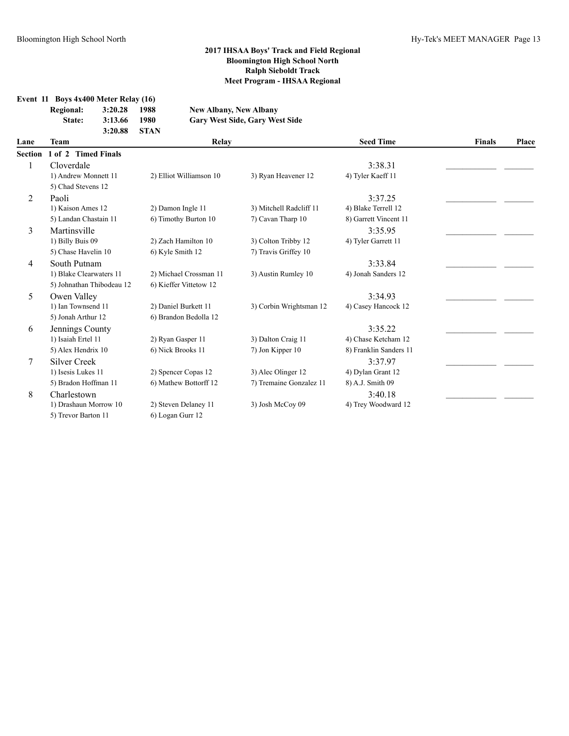**Event 11 Boys 4x400 Meter Relay (16)**  $New$  Albany, New Albany **State: 3:13.66 1980 Gary West Side, Gary West Side 3:20.88 STAN**

| Lane           | Team                      | Relay                   |                         | <b>Seed Time</b>       | <b>Finals</b> |       |
|----------------|---------------------------|-------------------------|-------------------------|------------------------|---------------|-------|
| <b>Section</b> | 1 of 2 Timed Finals       |                         |                         |                        |               | Place |
|                | Cloverdale                |                         |                         | 3:38.31                |               |       |
|                | 1) Andrew Monnett 11      | 2) Elliot Williamson 10 | 3) Ryan Heavener 12     | 4) Tyler Kaeff 11      |               |       |
|                | 5) Chad Stevens 12        |                         |                         |                        |               |       |
| $\overline{2}$ | Paoli                     |                         |                         | 3:37.25                |               |       |
|                | 1) Kaison Ames 12         | 2) Damon Ingle 11       | 3) Mitchell Radcliff 11 | 4) Blake Terrell 12    |               |       |
|                | 5) Landan Chastain 11     | 6) Timothy Burton 10    | 7) Cavan Tharp 10       | 8) Garrett Vincent 11  |               |       |
| 3              | Martinsville              |                         |                         | 3:35.95                |               |       |
|                | 1) Billy Buis 09          | 2) Zach Hamilton 10     | 3) Colton Tribby 12     | 4) Tyler Garrett 11    |               |       |
|                | 5) Chase Havelin 10       | 6) Kyle Smith 12        | 7) Travis Griffey 10    |                        |               |       |
| 4              | South Putnam              |                         |                         | 3:33.84                |               |       |
|                | 1) Blake Clearwaters 11   | 2) Michael Crossman 11  | 3) Austin Rumley 10     | 4) Jonah Sanders 12    |               |       |
|                | 5) Johnathan Thibodeau 12 | 6) Kieffer Vittetow 12  |                         |                        |               |       |
| 5              | Owen Valley               |                         |                         | 3:34.93                |               |       |
|                | 1) Ian Townsend 11        | 2) Daniel Burkett 11    | 3) Corbin Wrightsman 12 | 4) Casey Hancock 12    |               |       |
|                | 5) Jonah Arthur 12        | 6) Brandon Bedolla 12   |                         |                        |               |       |
| 6              | Jennings County           |                         |                         | 3:35.22                |               |       |
|                | 1) Isaiah Ertel 11        | 2) Ryan Gasper 11       | 3) Dalton Craig 11      | 4) Chase Ketcham 12    |               |       |
|                | 5) Alex Hendrix 10        | 6) Nick Brooks 11       | 7) Jon Kipper 10        | 8) Franklin Sanders 11 |               |       |
| 7              | <b>Silver Creek</b>       |                         |                         | 3:37.97                |               |       |
|                | 1) Isesis Lukes 11        | 2) Spencer Copas 12     | 3) Alec Olinger 12      | 4) Dylan Grant 12      |               |       |
|                | 5) Bradon Hoffman 11      | 6) Mathew Bottorff 12   | 7) Tremaine Gonzalez 11 | 8) A.J. Smith 09       |               |       |
| 8              | Charlestown               |                         |                         | 3:40.18                |               |       |
|                | 1) Drashaun Morrow 10     | 2) Steven Delaney 11    | 3) Josh McCoy 09        | 4) Trey Woodward 12    |               |       |
|                | 5) Trevor Barton 11       | 6) Logan Gurr 12        |                         |                        |               |       |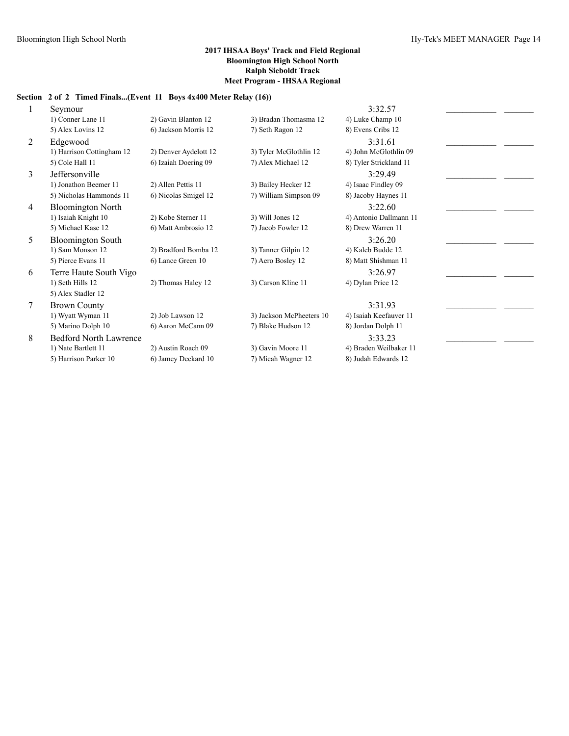# **Section 2 of 2 Timed Finals...(Event 11 Boys 4x400 Meter Relay (16))**

|   | Seymour                       |                       |                          | 3:32.57                |  |
|---|-------------------------------|-----------------------|--------------------------|------------------------|--|
|   | 1) Conner Lane 11             | 2) Gavin Blanton 12   | 3) Bradan Thomasma 12    | 4) Luke Champ 10       |  |
|   | 5) Alex Lovins 12             | 6) Jackson Morris 12  | 7) Seth Ragon 12         | 8) Evens Cribs 12      |  |
| 2 | Edgewood                      |                       |                          | 3:31.61                |  |
|   | 1) Harrison Cottingham 12     | 2) Denver Aydelott 12 | 3) Tyler McGlothlin 12   | 4) John McGlothlin 09  |  |
|   | 5) Cole Hall 11               | 6) Izaiah Doering 09  | 7) Alex Michael 12       | 8) Tyler Strickland 11 |  |
| 3 | Jeffersonville                |                       |                          | 3:29.49                |  |
|   | 1) Jonathon Beemer 11         | 2) Allen Pettis 11    | 3) Bailey Hecker 12      | 4) Isaac Findley 09    |  |
|   | 5) Nicholas Hammonds 11       | 6) Nicolas Smigel 12  | 7) William Simpson 09    | 8) Jacoby Haynes 11    |  |
| 4 | <b>Bloomington North</b>      |                       |                          | 3:22.60                |  |
|   | 1) Isaiah Knight 10           | 2) Kobe Sterner 11    | 3) Will Jones 12         | 4) Antonio Dallmann 11 |  |
|   | 5) Michael Kase 12            | 6) Matt Ambrosio 12   | 7) Jacob Fowler 12       | 8) Drew Warren 11      |  |
| 5 | <b>Bloomington South</b>      |                       |                          | 3:26.20                |  |
|   | 1) Sam Monson 12              | 2) Bradford Bomba 12  | 3) Tanner Gilpin 12      | 4) Kaleb Budde 12      |  |
|   | 5) Pierce Evans 11            | 6) Lance Green 10     | 7) Aero Bosley 12        | 8) Matt Shishman 11    |  |
| 6 | Terre Haute South Vigo        |                       |                          | 3:26.97                |  |
|   | 1) Seth Hills 12              | 2) Thomas Haley 12    | 3) Carson Kline 11       | 4) Dylan Price 12      |  |
|   | 5) Alex Stadler 12            |                       |                          |                        |  |
| 7 | <b>Brown County</b>           |                       |                          | 3:31.93                |  |
|   | 1) Wyatt Wyman 11             | 2) Job Lawson 12      | 3) Jackson McPheeters 10 | 4) Isaiah Keefauver 11 |  |
|   | 5) Marino Dolph 10            | 6) Aaron McCann 09    | 7) Blake Hudson 12       | 8) Jordan Dolph 11     |  |
| 8 | <b>Bedford North Lawrence</b> |                       |                          | 3:33.23                |  |
|   | 1) Nate Bartlett 11           | 2) Austin Roach 09    | 3) Gavin Moore 11        | 4) Braden Weilbaker 11 |  |
|   | 5) Harrison Parker 10         | 6) Jamey Deckard 10   | 7) Micah Wagner 12       | 8) Judah Edwards 12    |  |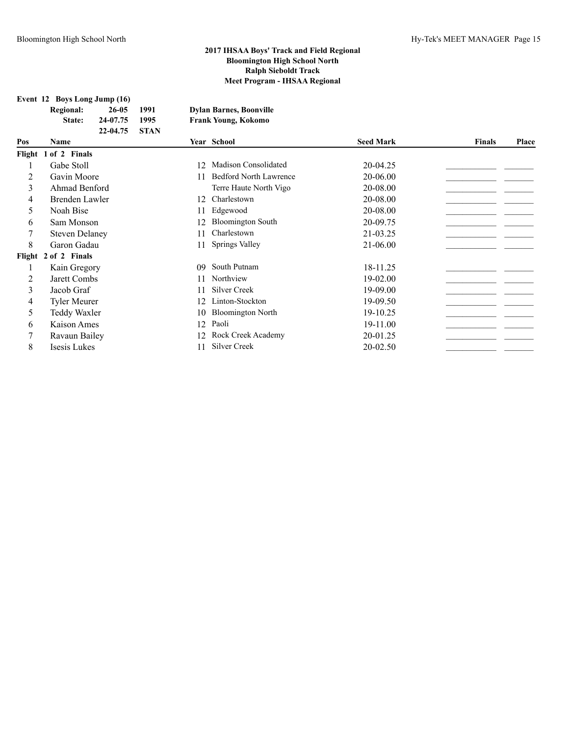**Event 12 Boys Long Jump (16)**

|        | <b>Regional:</b><br>State: | $26 - 05$<br>24-07.75<br>22-04.75 | 1991<br>1995<br><b>STAN</b> |     | <b>Dylan Barnes, Boonville</b><br><b>Frank Young, Kokomo</b> |                  |               |       |
|--------|----------------------------|-----------------------------------|-----------------------------|-----|--------------------------------------------------------------|------------------|---------------|-------|
| Pos    | <b>Name</b>                |                                   |                             |     | Year School                                                  | <b>Seed Mark</b> | <b>Finals</b> | Place |
| Flight | 1 of 2 Finals              |                                   |                             |     |                                                              |                  |               |       |
|        | Gabe Stoll                 |                                   |                             | 12  | <b>Madison Consolidated</b>                                  | 20-04.25         |               |       |
| 2      | Gavin Moore                |                                   |                             |     | <b>Bedford North Lawrence</b>                                | 20-06.00         |               |       |
| 3      | Ahmad Benford              |                                   |                             |     | Terre Haute North Vigo                                       | 20-08.00         |               |       |
| 4      | Brenden Lawler             |                                   |                             | 12. | Charlestown                                                  | 20-08.00         |               |       |
| 5      | Noah Bise                  |                                   |                             |     | Edgewood                                                     | 20-08.00         |               |       |
| 6      | Sam Monson                 |                                   |                             | 12  | <b>Bloomington South</b>                                     | 20-09.75         |               |       |
| 7      | <b>Steven Delaney</b>      |                                   |                             | 11  | Charlestown                                                  | 21-03.25         |               |       |
| 8      | Garon Gadau                |                                   |                             | 11  | Springs Valley                                               | 21-06.00         |               |       |
| Flight | 2 of 2 Finals              |                                   |                             |     |                                                              |                  |               |       |
|        | Kain Gregory               |                                   |                             | 09  | South Putnam                                                 | 18-11.25         |               |       |
| 2      | Jarett Combs               |                                   |                             |     | Northview                                                    | 19-02.00         |               |       |
| 3      | Jacob Graf                 |                                   |                             |     | Silver Creek                                                 | 19-09.00         |               |       |
| 4      | <b>Tyler Meurer</b>        |                                   |                             | 12  | Linton-Stockton                                              | 19-09.50         |               |       |
| 5      | Teddy Waxler               |                                   |                             | 10  | <b>Bloomington North</b>                                     | 19-10.25         |               |       |
| 6      | Kaison Ames                |                                   |                             | 12  | Paoli                                                        | 19-11.00         |               |       |
| 7      | Ravaun Bailey              |                                   |                             | 12  | Rock Creek Academy                                           | 20-01.25         |               |       |
| 8      | Isesis Lukes               |                                   |                             | 11  | Silver Creek                                                 | 20-02.50         |               |       |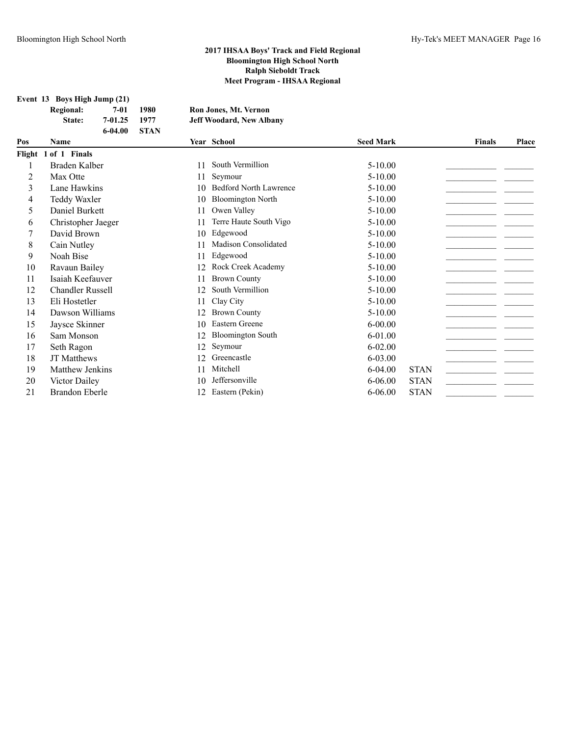**Event 13 Boys High Jump (21)**

| <b>Regional:</b> | 7-01    | 1980        | Ron Jones, Mt. Vernon           |
|------------------|---------|-------------|---------------------------------|
| State:           | 7-01.25 | 1977        | <b>Jeff Woodard, New Albany</b> |
|                  | 6-04.00 | <b>STAN</b> |                                 |

| Pos | <b>Name</b>             |    | Year School                   | <b>Seed Mark</b> |             | <b>Finals</b> | Place |
|-----|-------------------------|----|-------------------------------|------------------|-------------|---------------|-------|
|     | Flight 1 of 1 Finals    |    |                               |                  |             |               |       |
|     | Braden Kalber           | 11 | South Vermillion              | $5-10.00$        |             |               |       |
| 2   | Max Otte                | 11 | Seymour                       | $5 - 10.00$      |             |               |       |
| 3   | Lane Hawkins            | 10 | <b>Bedford North Lawrence</b> | $5-10.00$        |             |               |       |
| 4   | Teddy Waxler            | 10 | <b>Bloomington North</b>      | $5-10.00$        |             |               |       |
| 5   | Daniel Burkett          | 11 | Owen Valley                   | $5-10.00$        |             |               |       |
| 6   | Christopher Jaeger      | 11 | Terre Haute South Vigo        | $5 - 10.00$      |             |               |       |
|     | David Brown             | 10 | Edgewood                      | $5-10.00$        |             |               |       |
| 8   | Cain Nutley             | 11 | <b>Madison Consolidated</b>   | $5-10.00$        |             |               |       |
| 9   | Noah Bise               | 11 | Edgewood                      | $5 - 10.00$      |             |               |       |
| 10  | Ravaun Bailey           | 12 | Rock Creek Academy            | $5-10.00$        |             |               |       |
| 11  | Isaiah Keefauver        | 11 | <b>Brown County</b>           | $5-10.00$        |             |               |       |
| 12  | <b>Chandler Russell</b> | 12 | South Vermillion              | $5 - 10.00$      |             |               |       |
| 13  | Eli Hostetler           | 11 | Clay City                     | $5 - 10.00$      |             |               |       |
| 14  | Dawson Williams         | 12 | <b>Brown County</b>           | $5-10.00$        |             |               |       |
| 15  | Jaysce Skinner          | 10 | Eastern Greene                | $6 - 00.00$      |             |               |       |
| 16  | Sam Monson              | 12 | <b>Bloomington South</b>      | $6 - 01.00$      |             |               |       |
| 17  | Seth Ragon              | 12 | Seymour                       | $6 - 02.00$      |             |               |       |
| 18  | <b>JT</b> Matthews      | 12 | Greencastle                   | 6-03.00          |             |               |       |
| 19  | Matthew Jenkins         | 11 | Mitchell                      | $6 - 04.00$      | <b>STAN</b> |               |       |
| 20  | Victor Dailey           | 10 | Jeffersonville                | $6 - 06.00$      | <b>STAN</b> |               |       |
| 21  | <b>Brandon Eberle</b>   | 12 | Eastern (Pekin)               | $6 - 06.00$      | <b>STAN</b> |               |       |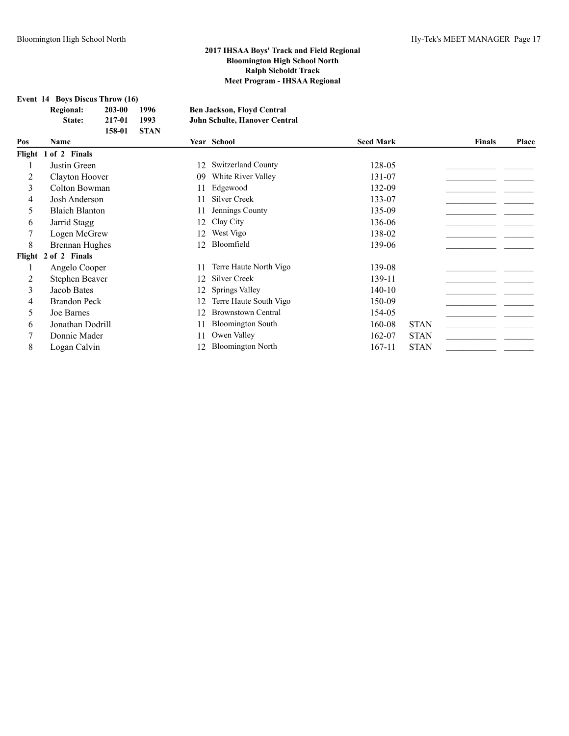**Event 14 Boys Discus Throw (16)**

| <b>Regional:</b> | 203-00 | 1996   | <b>Ben Jackson, Floyd Central</b> |
|------------------|--------|--------|-----------------------------------|
| State:           | 217-01 | 1993   | John Schulte, Hanover Central     |
|                  | 158-01 | - STAN |                                   |

| Pos | Name                  |     | Year School               | <b>Seed Mark</b> |             | <b>Finals</b> | Place |
|-----|-----------------------|-----|---------------------------|------------------|-------------|---------------|-------|
|     | Flight 1 of 2 Finals  |     |                           |                  |             |               |       |
|     | Justin Green          | 12  | <b>Switzerland County</b> | 128-05           |             |               |       |
| 2   | Clayton Hoover        | 09  | White River Valley        | 131-07           |             |               |       |
| 3   | Colton Bowman         | 11  | Edgewood                  | 132-09           |             |               |       |
| 4   | Josh Anderson         | 11  | Silver Creek              | 133-07           |             |               |       |
| 5   | <b>Blaich Blanton</b> | 11  | Jennings County           | 135-09           |             |               |       |
| 6   | Jarrid Stagg          | 12  | Clay City                 | 136-06           |             |               |       |
|     | Logen McGrew          | 12. | West Vigo                 | 138-02           |             |               |       |
| 8   | Brennan Hughes        | 12. | Bloomfield                | 139-06           |             |               |       |
|     | Flight 2 of 2 Finals  |     |                           |                  |             |               |       |
|     | Angelo Cooper         | 11  | Terre Haute North Vigo    | 139-08           |             |               |       |
| 2   | Stephen Beaver        | 12  | Silver Creek              | 139-11           |             |               |       |
| 3   | Jacob Bates           | 12  | Springs Valley            | $140-10$         |             |               |       |
| 4   | <b>Brandon Peck</b>   | 12  | Terre Haute South Vigo    | 150-09           |             |               |       |
| 5   | Joe Barnes            | 12  | <b>Brownstown Central</b> | 154-05           |             |               |       |
| 6   | Jonathan Dodrill      | 11  | <b>Bloomington South</b>  | 160-08           | <b>STAN</b> |               |       |
|     | Donnie Mader          | 11  | Owen Valley               | 162-07           | <b>STAN</b> |               |       |
| 8   | Logan Calvin          |     | <b>Bloomington North</b>  | 167-11           | <b>STAN</b> |               |       |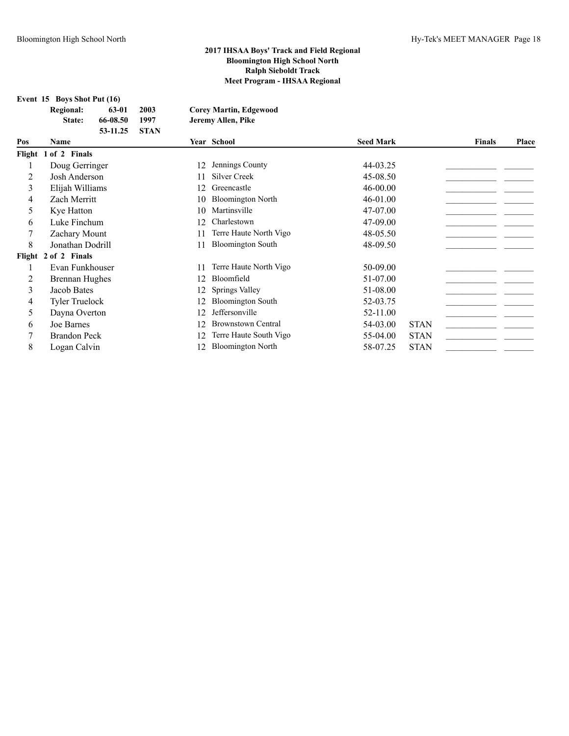**Event 15 Boys Shot Put (16)**

| $E$ vent 15 Dovs Shot fut (10) |          |             |                               |
|--------------------------------|----------|-------------|-------------------------------|
| <b>Regional:</b>               | 63-01    | 2003        | <b>Corey Martin, Edgewood</b> |
| <b>State:</b>                  | 66-08.50 | 1997        | Jeremy Allen, Pike            |
|                                | 53-11.25 | <b>STAN</b> |                               |
|                                |          |             |                               |

| Pos | Name                  |    | Year School               | <b>Seed Mark</b> |             | <b>Finals</b> | <b>Place</b> |
|-----|-----------------------|----|---------------------------|------------------|-------------|---------------|--------------|
|     | Flight 1 of 2 Finals  |    |                           |                  |             |               |              |
|     | Doug Gerringer        | 12 | Jennings County           | 44-03.25         |             |               |              |
|     | Josh Anderson         | 11 | Silver Creek              | 45-08.50         |             |               |              |
| 3   | Elijah Williams       | 12 | Greencastle               | $46 - 00.00$     |             |               |              |
| 4   | Zach Merritt          | 10 | <b>Bloomington North</b>  | $46 - 01.00$     |             |               |              |
| 5.  | Kye Hatton            | 10 | Martinsville              | 47-07.00         |             |               |              |
| 6   | Luke Finchum          | 12 | Charlestown               | 47-09.00         |             |               |              |
|     | Zachary Mount         | 11 | Terre Haute North Vigo    | 48-05.50         |             |               |              |
| 8   | Jonathan Dodrill      | 11 | <b>Bloomington South</b>  | 48-09.50         |             |               |              |
|     | Flight 2 of 2 Finals  |    |                           |                  |             |               |              |
|     | Evan Funkhouser       | 11 | Terre Haute North Vigo    | 50-09.00         |             |               |              |
|     | Brennan Hughes        | 12 | Bloomfield                | 51-07.00         |             |               |              |
| 3   | Jacob Bates           | 12 | Springs Valley            | 51-08.00         |             |               |              |
| 4   | <b>Tyler Truelock</b> | 12 | <b>Bloomington South</b>  | 52-03.75         |             |               |              |
| 5.  | Dayna Overton         | 12 | Jeffersonville            | 52-11.00         |             |               |              |
| 6   | Joe Barnes            | 12 | <b>Brownstown Central</b> | 54-03.00         | <b>STAN</b> |               |              |
|     | <b>Brandon Peck</b>   | 12 | Terre Haute South Vigo    | 55-04.00         | <b>STAN</b> |               |              |
| 8   | Logan Calvin          |    | <b>Bloomington North</b>  | 58-07.25         | <b>STAN</b> |               |              |